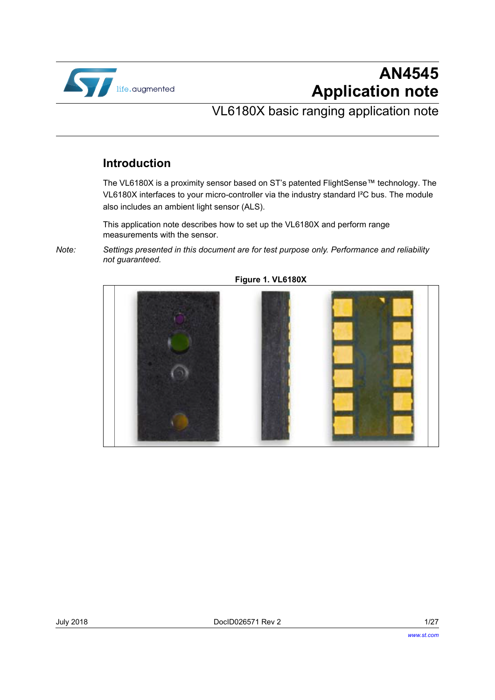

# **AN4545 Application note**

## VL6180X basic ranging application note

## **Introduction**

The VL6180X is a proximity sensor based on ST's patented FlightSense™ technology. The VL6180X interfaces to your micro-controller via the industry standard I²C bus. The module also includes an ambient light sensor (ALS).

This application note describes how to set up the VL6180X and perform range measurements with the sensor.

*Note: Settings presented in this document are for test purpose only. Performance and reliability not guaranteed.*



**Figure 1. VL6180X**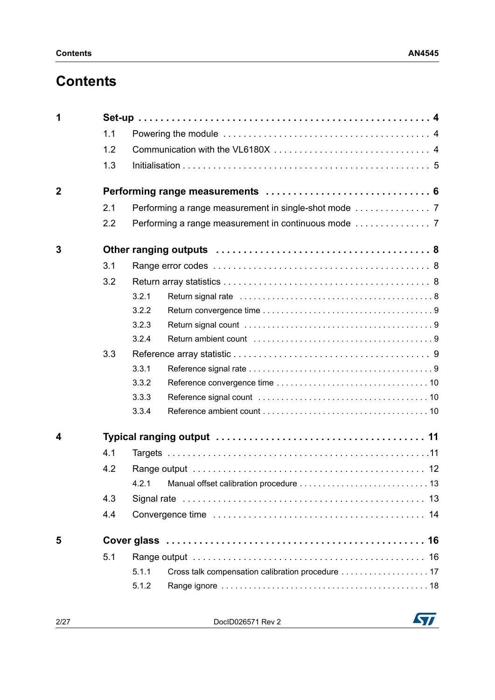# **Contents**

| 1              |     |       |                                                   |  |
|----------------|-----|-------|---------------------------------------------------|--|
|                | 1.1 |       |                                                   |  |
|                | 1.2 |       |                                                   |  |
|                | 1.3 |       |                                                   |  |
| $\overline{2}$ |     |       |                                                   |  |
|                | 2.1 |       |                                                   |  |
|                | 2.2 |       |                                                   |  |
| 3              |     |       |                                                   |  |
|                | 3.1 |       |                                                   |  |
|                | 3.2 |       |                                                   |  |
|                |     | 3.2.1 |                                                   |  |
|                |     | 3.2.2 |                                                   |  |
|                |     | 3.2.3 |                                                   |  |
|                |     | 3.2.4 |                                                   |  |
|                | 3.3 |       |                                                   |  |
|                |     | 3.3.1 |                                                   |  |
|                |     | 3.3.2 |                                                   |  |
|                |     | 3.3.3 |                                                   |  |
|                |     | 3.3.4 |                                                   |  |
| 4              |     |       |                                                   |  |
|                | 4.1 |       |                                                   |  |
|                | 4.2 |       |                                                   |  |
|                |     |       |                                                   |  |
|                | 4.3 |       |                                                   |  |
|                | 4.4 |       |                                                   |  |
| 5              |     |       |                                                   |  |
|                | 5.1 |       |                                                   |  |
|                |     | 5.1.1 | Cross talk compensation calibration procedure  17 |  |
|                |     | 5.1.2 |                                                   |  |

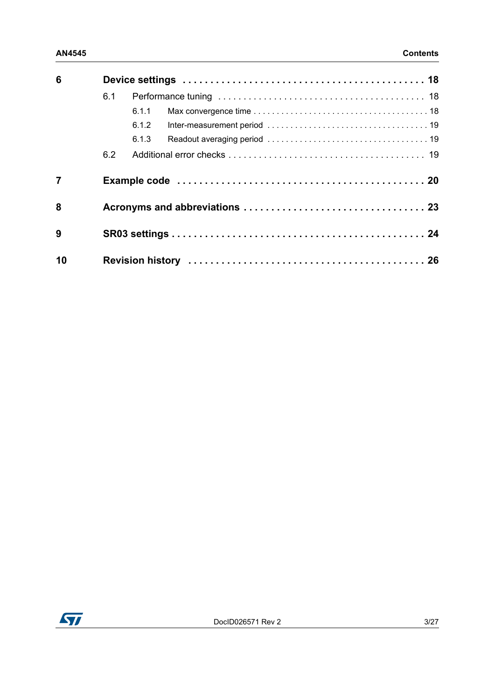| 6              |     |       |  |  |  |
|----------------|-----|-------|--|--|--|
|                | 6.1 |       |  |  |  |
|                |     | 6.1.1 |  |  |  |
|                |     | 6.1.2 |  |  |  |
|                |     | 6.1.3 |  |  |  |
|                | 6.2 |       |  |  |  |
| $\overline{7}$ |     |       |  |  |  |
| 8              |     |       |  |  |  |
| 9              |     |       |  |  |  |
| 10             |     |       |  |  |  |

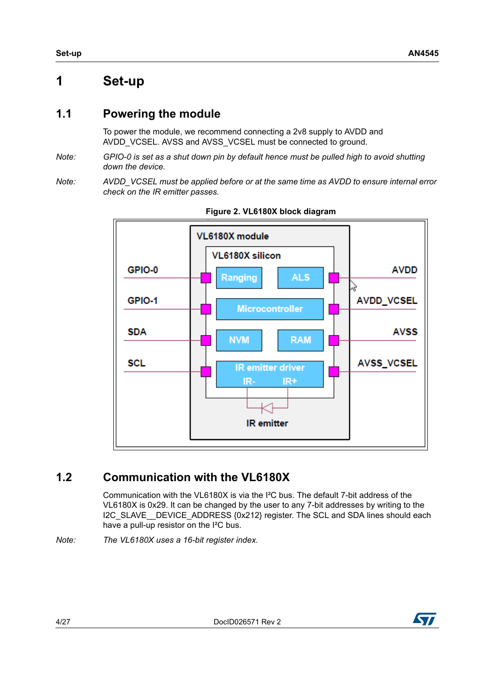## <span id="page-3-0"></span>**1 Set-up**

## <span id="page-3-1"></span>**1.1 Powering the module**

To power the module, we recommend connecting a 2v8 supply to AVDD and AVDD VCSEL. AVSS and AVSS VCSEL must be connected to ground.

- *Note: GPIO-0 is set as a shut down pin by default hence must be pulled high to avoid shutting down the device.*
- *Note: AVDD\_VCSEL must be applied before or at the same time as AVDD to ensure internal error check on the IR emitter passes.*



**Figure 2. VL6180X block diagram**

## <span id="page-3-2"></span>**1.2 Communication with the VL6180X**

Communication with the VL6180X is via the I²C bus. The default 7-bit address of the VL6180X is 0x29. It can be changed by the user to any 7-bit addresses by writing to the I2C\_SLAVE\_\_DEVICE\_ADDRESS {0x212} register. The SCL and SDA lines should each have a pull-up resistor on the I²C bus.

*Note: The VL6180X uses a 16-bit register index.* 



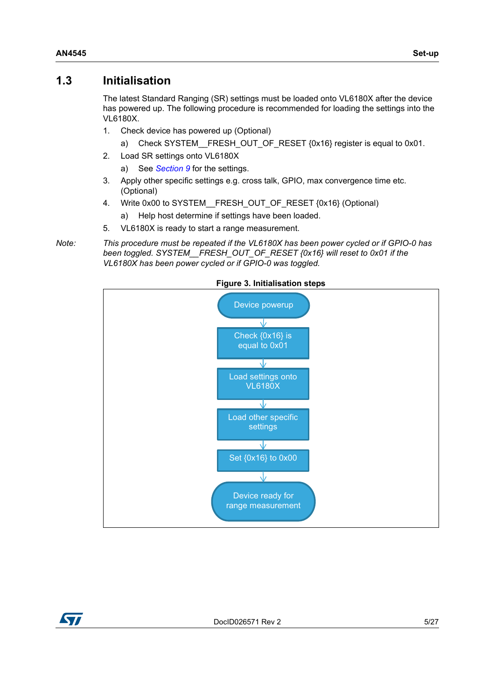### <span id="page-4-0"></span>**1.3 Initialisation**

The latest Standard Ranging (SR) settings must be loaded onto VL6180X after the device has powered up. The following procedure is recommended for loading the settings into the VL6180X.

- 1. Check device has powered up (Optional)
	- a) Check SYSTEM FRESH\_OUT\_OF\_RESET {0x16} register is equal to 0x01.
- 2. Load SR settings onto VL6180X
	- a) See *[Section](#page-23-0) 9* for the settings.
- 3. Apply other specific settings e.g. cross talk, GPIO, max convergence time etc. (Optional)
- 4. Write 0x00 to SYSTEM\_\_FRESH\_OUT\_OF\_RESET {0x16} (Optional)
	- a) Help host determine if settings have been loaded.
- 5. VL6180X is ready to start a range measurement.

*Note: This procedure must be repeated if the VL6180X has been power cycled or if GPIO-0 has been toggled. SYSTEM\_\_FRESH\_OUT\_OF\_RESET {0x16} will reset to 0x01 if the VL6180X has been power cycled or if GPIO-0 was toggled.*





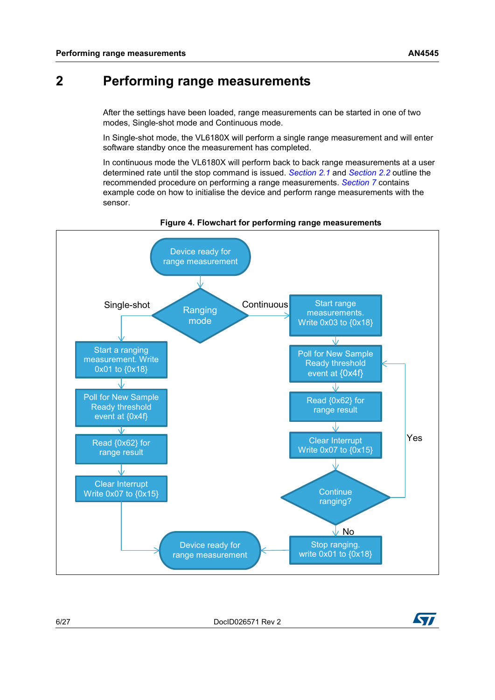## <span id="page-5-0"></span>**2 Performing range measurements**

After the settings have been loaded, range measurements can be started in one of two modes, Single-shot mode and Continuous mode.

In Single-shot mode, the VL6180X will perform a single range measurement and will enter software standby once the measurement has completed.

In continuous mode the VL6180X will perform back to back range measurements at a user determined rate until the stop command is issued. *[Section](#page-6-0) 2.1* and *[Section](#page-6-1) 2.2* outline the recommended procedure on performing a range measurements. *[Section](#page-19-0) 7* contains example code on how to initialise the device and perform range measurements with the sensor.



#### **Figure 4. Flowchart for performing range measurements**



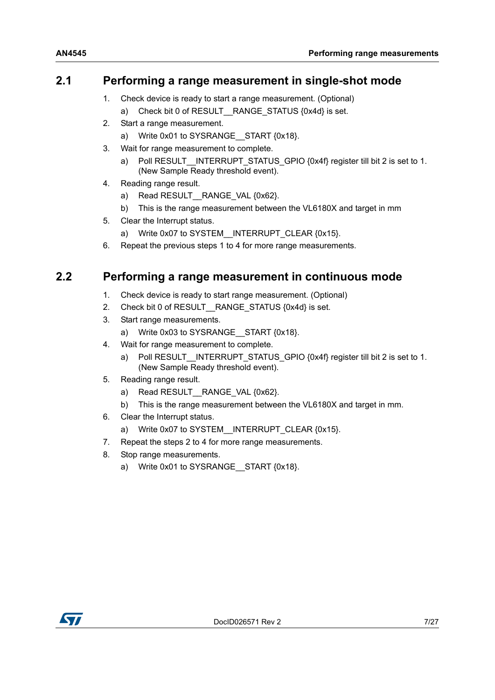## <span id="page-6-0"></span>**2.1 Performing a range measurement in single-shot mode**

- 1. Check device is ready to start a range measurement. (Optional)
	- a) Check bit 0 of RESULT RANGE STATUS {0x4d} is set.
- 2. Start a range measurement.
	- a) Write 0x01 to SYSRANGE START {0x18}.
- 3. Wait for range measurement to complete.
	- a) Poll RESULT INTERRUPT STATUS GPIO {0x4f} register till bit 2 is set to 1. (New Sample Ready threshold event).
- 4. Reading range result.
	- a) Read RESULT RANGE VAL {0x62}.
	- b) This is the range measurement between the VL6180X and target in mm
- 5. Clear the Interrupt status.
	- a) Write 0x07 to SYSTEM INTERRUPT CLEAR {0x15}.
- 6. Repeat the previous steps 1 to 4 for more range measurements.

## <span id="page-6-1"></span>**2.2 Performing a range measurement in continuous mode**

- 1. Check device is ready to start range measurement. (Optional)
- 2. Check bit 0 of RESULT RANGE STATUS {0x4d} is set.
- 3. Start range measurements.
	- a) Write 0x03 to SYSRANGE START {0x18}.
- 4. Wait for range measurement to complete.
	- a) Poll RESULT\_\_INTERRUPT\_STATUS\_GPIO {0x4f} register till bit 2 is set to 1. (New Sample Ready threshold event).
- 5. Reading range result.
	- a) Read RESULT\_\_RANGE\_VAL {0x62}.
	- b) This is the range measurement between the VL6180X and target in mm.
- 6. Clear the Interrupt status.
	- a) Write 0x07 to SYSTEM\_\_INTERRUPT\_CLEAR {0x15}.
- 7. Repeat the steps 2 to 4 for more range measurements.
- 8. Stop range measurements.
	- a) Write 0x01 to SYSRANGE\_\_START {0x18}.

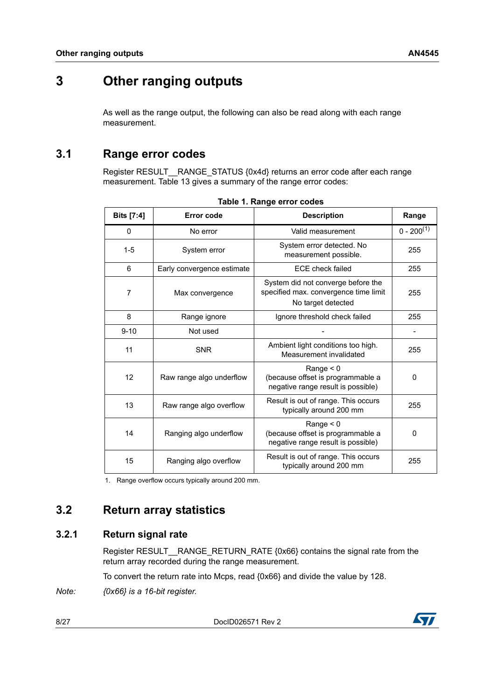# <span id="page-7-0"></span>**3 Other ranging outputs**

As well as the range output, the following can also be read along with each range measurement.

## <span id="page-7-1"></span>**3.1 Range error codes**

Register RESULT \_ RANGE\_STATUS {0x4d} returns an error code after each range measurement. Table 13 gives a summary of the range error codes:

| Bits [7:4] | Error code                 | <b>Description</b>                                                                                | Range           |
|------------|----------------------------|---------------------------------------------------------------------------------------------------|-----------------|
| 0          | No error                   | Valid measurement                                                                                 | $0 - 200^{(1)}$ |
| $1 - 5$    | System error               | System error detected. No<br>measurement possible.                                                | 255             |
| 6          | Early convergence estimate | <b>ECE check failed</b>                                                                           | 255             |
| 7          | Max convergence            | System did not converge before the<br>specified max. convergence time limit<br>No target detected | 255             |
| 8          | Range ignore               | Ignore threshold check failed                                                                     | 255             |
| $9 - 10$   | Not used                   |                                                                                                   |                 |
| 11         | <b>SNR</b>                 | Ambient light conditions too high.<br>Measurement invalidated                                     | 255             |
| 12         | Raw range algo underflow   | Range $< 0$<br>(because offset is programmable a<br>negative range result is possible)            | $\Omega$        |
| 13         | Raw range algo overflow    | Result is out of range. This occurs<br>typically around 200 mm                                    | 255             |
| 14         | Ranging algo underflow     | Range $< 0$<br>(because offset is programmable a<br>negative range result is possible)            | 0               |
| 15         | Ranging algo overflow      | Result is out of range. This occurs<br>typically around 200 mm                                    | 255             |

|  | Table 1. Range error codes |  |
|--|----------------------------|--|
|  |                            |  |

1. Range overflow occurs typically around 200 mm.

## <span id="page-7-2"></span>**3.2 Return array statistics**

### <span id="page-7-3"></span>**3.2.1 Return signal rate**

Register RESULT RANGE RETURN RATE {0x66} contains the signal rate from the return array recorded during the range measurement.

To convert the return rate into Mcps, read {0x66} and divide the value by 128.

*Note: {0x66} is a 16-bit register.* 

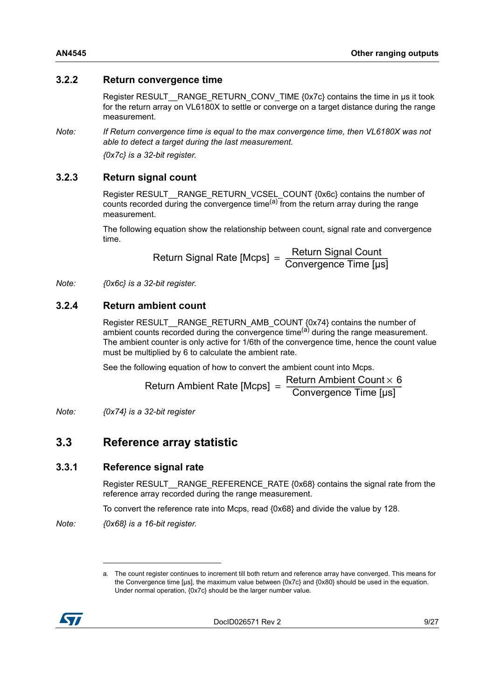#### <span id="page-8-0"></span>**3.2.2 Return convergence time**

Register RESULT \_RANGE\_RETURN\_CONV\_TIME {0x7c} contains the time in us it took for the return array on VL6180X to settle or converge on a target distance during the range measurement.

*Note: If Return convergence time is equal to the max convergence time, then VL6180X was not able to detect a target during the last measurement.* 

*{0x7c} is a 32-bit register.* 

#### <span id="page-8-1"></span>**3.2.3 Return signal count**

Register RESULT\_\_RANGE\_RETURN\_VCSEL\_COUNT {0x6c} contains the number of counts recorded during the convergence time $(a)$  from the return array during the range measurement.

The following equation show the relationship between count, signal rate and convergence time.

Return Signal Rate [Mcps] = Return Signal Count<br>Convergence Time [µs]

*Note: {0x6c} is a 32-bit register.* 

#### <span id="page-8-2"></span>**3.2.4 Return ambient count**

Register RESULT\_\_RANGE\_RETURN\_AMB\_COUNT {0x74} contains the number of ambient counts recorded during the convergence time<sup>(a)</sup> during the range measurement. The ambient counter is only active for 1/6th of the convergence time, hence the count value must be multiplied by 6 to calculate the ambient rate.

See the following equation of how to convert the ambient count into Mcps.

Return Ambient Rate [Mcps] = 
$$
\frac{\text{Return Ambient Count} \times 6}{\text{Convergence Time [µs]}}
$$

*Note: {0x74} is a 32-bit register* 

## <span id="page-8-3"></span>**3.3 Reference array statistic**

#### <span id="page-8-4"></span>**3.3.1 Reference signal rate**

Register RESULT \_ RANGE\_REFERENCE\_RATE {0x68} contains the signal rate from the reference array recorded during the range measurement.

To convert the reference rate into Mcps, read {0x68} and divide the value by 128.

*Note: {0x68} is a 16-bit register.* 

a. The count register continues to increment till both return and reference array have converged. This means for the Convergence time [µs], the maximum value between {0x7c} and {0x80} should be used in the equation. Under normal operation, {0x7c} should be the larger number value.

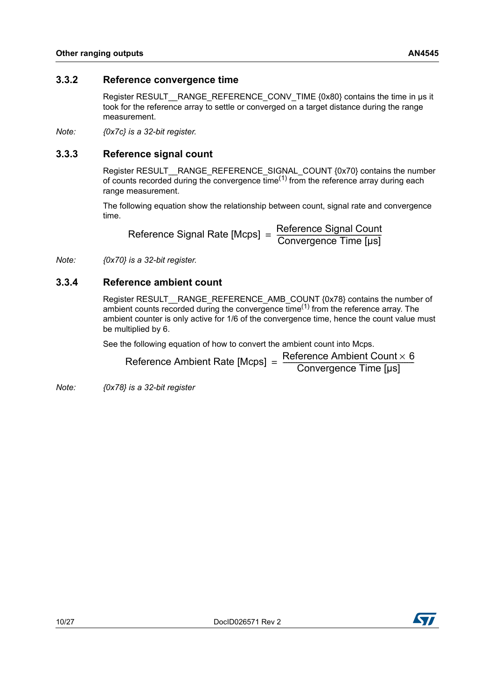#### <span id="page-9-0"></span>**3.3.2 Reference convergence time**

Register RESULT \_ RANGE\_REFERENCE\_CONV\_TIME {0x80} contains the time in µs it took for the reference array to settle or converged on a target distance during the range measurement.

*Note: {0x7c} is a 32-bit register.*

### <span id="page-9-1"></span>**3.3.3 Reference signal count**

Register RESULT RANGE\_REFERENCE\_SIGNAL\_COUNT {0x70} contains the number of counts recorded during the convergence time<sup>(1)</sup> from the reference array during each range measurement.

The following equation show the relationship between count, signal rate and convergence time.

Reference Signal Rate [Mcps] = Reference Signal Count<br>Convergence Time [µs]

*Note: {0x70} is a 32-bit register.* 

#### <span id="page-9-2"></span>**3.3.4 Reference ambient count**

Register RESULT\_\_RANGE\_REFERENCE\_AMB\_COUNT {0x78} contains the number of ambient counts recorded during the convergence time<sup> $(1)$ </sup> from the reference array. The ambient counter is only active for 1/6 of the convergence time, hence the count value must be multiplied by 6.

See the following equation of how to convert the ambient count into Mcps.

| Reference Ambient Rate [Mcps] | Reference Ambient Count $\times$ 6 |
|-------------------------------|------------------------------------|
|                               | Convergence Time [µs]              |

*Note: {0x78} is a 32-bit register* 

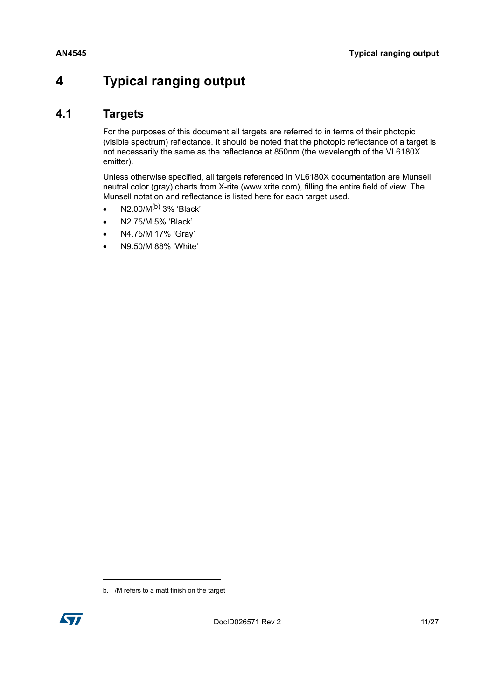## <span id="page-10-0"></span>**4 Typical ranging output**

## <span id="page-10-1"></span>**4.1 Targets**

For the purposes of this document all targets are referred to in terms of their photopic (visible spectrum) reflectance. It should be noted that the photopic reflectance of a target is not necessarily the same as the reflectance at 850nm (the wavelength of the VL6180X emitter).

Unless otherwise specified, all targets referenced in VL6180X documentation are Munsell neutral color (gray) charts from X-rite (www.xrite.com), filling the entire field of view. The Munsell notation and reflectance is listed here for each target used.

- $N2.00/M^{(b)}$  3% 'Black'
- N2.75/M 5% 'Black'
- N4.75/M 17% 'Gray'
- N9.50/M 88% 'White'

b. /M refers to a matt finish on the target

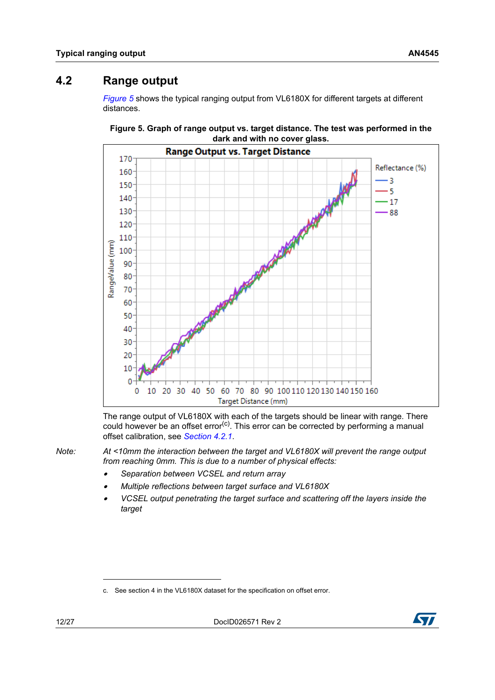## <span id="page-11-0"></span>**4.2 Range output**

*[Figure](#page-11-1) 5* shows the typical ranging output from VL6180X for different targets at different distances.



<span id="page-11-1"></span>

The range output of VL6180X with each of the targets should be linear with range. There could however be an offset error<sup>(c)</sup>. This error can be corrected by performing a manual offset calibration, see *[Section](#page-12-0) 4.2.1*.

*Note: At <10mm the interaction between the target and VL6180X will prevent the range output from reaching 0mm. This is due to a number of physical effects:* 

- •*Separation between VCSEL and return array*
- •*Multiple reflections between target surface and VL6180X*
- • *VCSEL output penetrating the target surface and scattering off the layers inside the target*



c. See section 4 in the VL6180X dataset for the specification on offset error.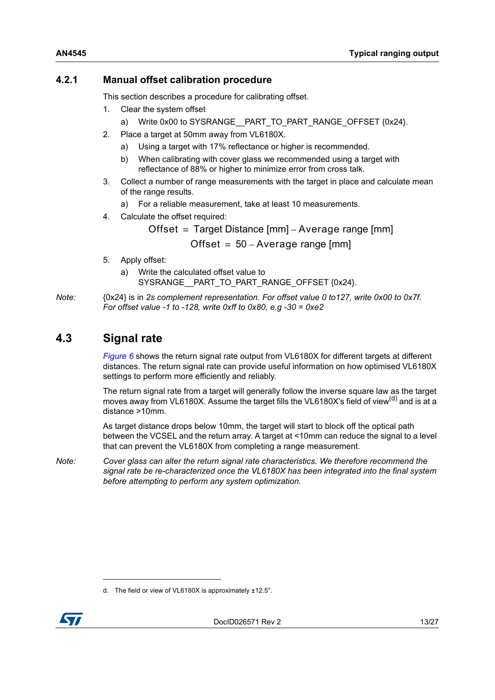### <span id="page-12-0"></span>**4.2.1 Manual offset calibration procedure**

This section describes a procedure for calibrating offset.

- 1. Clear the system offset
	- a) Write 0x00 to SYSRANGE\_\_PART\_TO\_PART\_RANGE\_OFFSET {0x24}.
- 2. Place a target at 50mm away from VL6180X.
	- a) Using a target with 17% reflectance or higher is recommended.
	- b) When calibrating with cover glass we recommended using a target with reflectance of 88% or higher to minimize error from cross talk.
- 3. Collect a number of range measurements with the target in place and calculate mean of the range results.
	- a) For a reliable measurement, take at least 10 measurements.
- 4. Calculate the offset required:

Offset = Target Distance  $[mm]$  – Average range  $[mm]$ 

Offset =  $50 - A$ verage range [mm]

- 5. Apply offset:
	- a) Write the calculated offset value to SYSRANGE\_\_PART\_TO\_PART\_RANGE\_OFFSET {0x24}.

*Note:* {0x24} is in *2s complement representation. For offset value 0 to127, write 0x00 to 0x7f. For offset value -1 to -128, write 0xff to 0x80, e.g -30 = 0xe2*

## <span id="page-12-1"></span>**4.3 Signal rate**

*[Figure](#page-13-1) 6* shows the return signal rate output from VL6180X for different targets at different distances. The return signal rate can provide useful information on how optimised VL6180X settings to perform more efficiently and reliably.

The return signal rate from a target will generally follow the inverse square law as the target moves away from VL6180X. Assume the target fills the VL6180X's field of view<sup>(d)</sup> and is at a distance >10mm.

As target distance drops below 10mm, the target will start to block off the optical path between the VCSEL and the return array. A target at <10mm can reduce the signal to a level that can prevent the VL6180X from completing a range measurement.

*Note: Cover glass can alter the return signal rate characteristics. We therefore recommend the signal rate be re-characterized once the VL6180X has been integrated into the final system before attempting to perform any system optimization.*

d. The field or view of VL6180X is approximately ±12.5°.

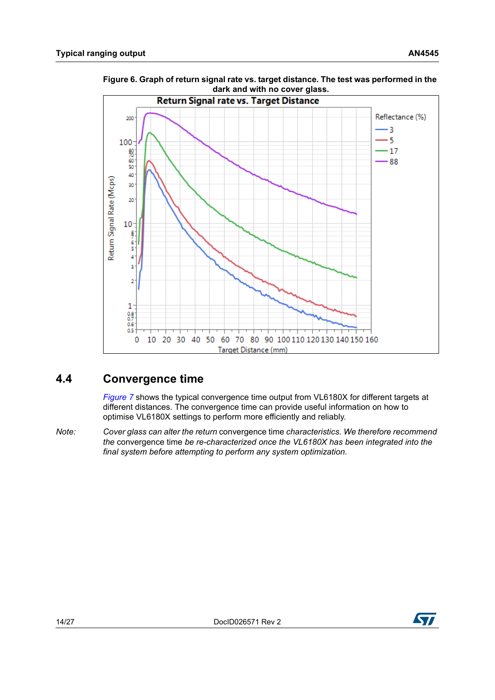$200$ 

 $100 -$ 

8888

40

30  $\overline{20}$ 

 $10 -$ 

 $\frac{8}{5}$  $\overline{4}$  $\overline{3}$  $\overline{2}$ 

 $1<sup>1</sup>$  $\frac{0.8}{0.7}$ <br>0.6  $0.5<sub>1</sub>$  $\pmb{0}$ 

Return Signal Rate (Mcps)



<span id="page-13-1"></span>**Figure 6. Graph of return signal rate vs. target distance. The test was performed in the** 

## <span id="page-13-0"></span>**4.4 Convergence time**

*[Figure](#page-14-0) 7* shows the typical convergence time output from VL6180X for different targets at different distances. The convergence time can provide useful information on how to optimise VL6180X settings to perform more efficiently and reliably.

10 20 30 40 50 60 70 80 90 100 110 120 130 140 150 160 Target Distance (mm)

*Note: Cover glass can alter the return* convergence time *characteristics. We therefore recommend the* convergence time *be re-characterized once the VL6180X has been integrated into the final system before attempting to perform any system optimization.*

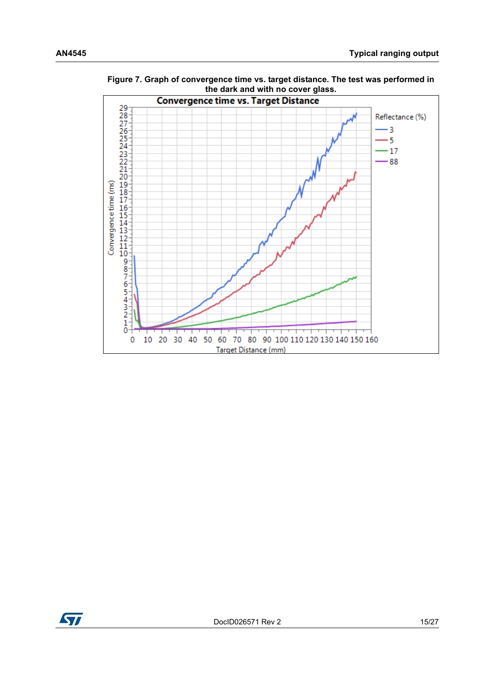

<span id="page-14-0"></span>**Figure 7. Graph of convergence time vs. target distance. The test was performed in the dark and with no cover glass.**

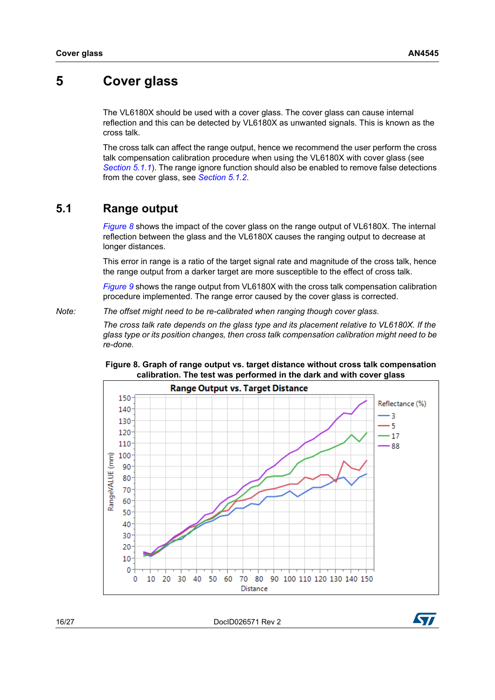## <span id="page-15-0"></span>**5 Cover glass**

The VL6180X should be used with a cover glass. The cover glass can cause internal reflection and this can be detected by VL6180X as unwanted signals. This is known as the cross talk.

The cross talk can affect the range output, hence we recommend the user perform the cross talk compensation calibration procedure when using the VL6180X with cover glass (see *[Section](#page-16-0) 5.1.1*). The range ignore function should also be enabled to remove false detections from the cover glass, see *[Section](#page-17-0) 5.1.2*.

### <span id="page-15-1"></span>**5.1 Range output**

*[Figure](#page-15-2) 8* shows the impact of the cover glass on the range output of VL6180X. The internal reflection between the glass and the VL6180X causes the ranging output to decrease at longer distances.

This error in range is a ratio of the target signal rate and magnitude of the cross talk, hence the range output from a darker target are more susceptible to the effect of cross talk.

*[Figure](#page-16-1) 9* shows the range output from VL6180X with the cross talk compensation calibration procedure implemented. The range error caused by the cover glass is corrected.

*Note: The offset might need to be re-calibrated when ranging though cover glass.*

*The cross talk rate depends on the glass type and its placement relative to VL6180X. If the glass type or its position changes, then cross talk compensation calibration might need to be re-done.*



#### <span id="page-15-2"></span>**Figure 8. Graph of range output vs. target distance without cross talk compensation calibration. The test was performed in the dark and with cover glass**

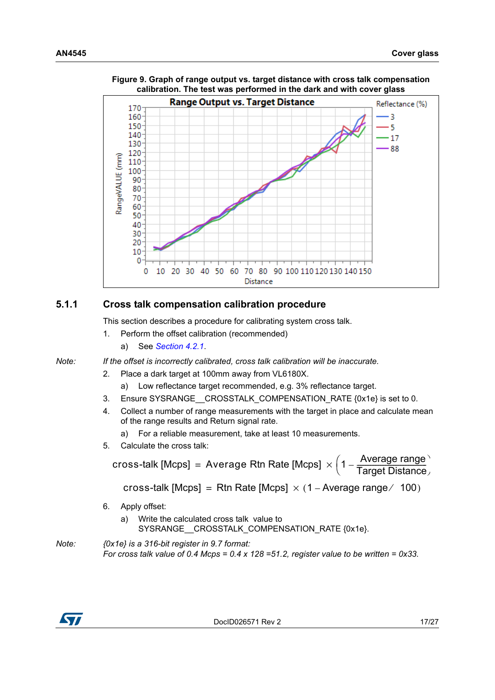

<span id="page-16-1"></span>**Figure 9. Graph of range output vs. target distance with cross talk compensation calibration. The test was performed in the dark and with cover glass**

### <span id="page-16-0"></span>**5.1.1 Cross talk compensation calibration procedure**

This section describes a procedure for calibrating system cross talk.

- 1. Perform the offset calibration (recommended)
	- a) See *[Section](#page-12-0) 4.2.1*.

*Note: If the offset is incorrectly calibrated, cross talk calibration will be inaccurate.*

- 2. Place a dark target at 100mm away from VL6180X.
	- a) Low reflectance target recommended, e.g. 3% reflectance target.
- 3. Ensure SYSRANGE CROSSTALK COMPENSATION RATE {0x1e} is set to 0.
- 4. Collect a number of range measurements with the target in place and calculate mean of the range results and Return signal rate.
	- a) For a reliable measurement, take at least 10 measurements.
- 5. Calculate the cross talk:

 $\textsf{cross}\text{-}\textsf{talk}\ [\textsf{Mcps}] \ = \ \textsf{Average}\ \textsf{Rtn}\ \textsf{Rate}\ [\textsf{Mcps}] \ \times \Big (1 - \frac{\textsf{Average}\ \textsf{range}}{\textsf{Target}\ \textsf{Distance}}\Big )$ cross-talk [Mcps] = Rtn Rate [Mcps]  $\times$  (1 – Average range / 100)

- 6. Apply offset:
	- a) Write the calculated cross talk value to SYSRANGE\_CROSSTALK\_COMPENSATION\_RATE {0x1e}.
- *Note: {0x1e} is a 316-bit register in 9.7 format: For cross talk value of 0.4 Mcps = 0.4 x 128 =51.2, register value to be written = 0x33.*

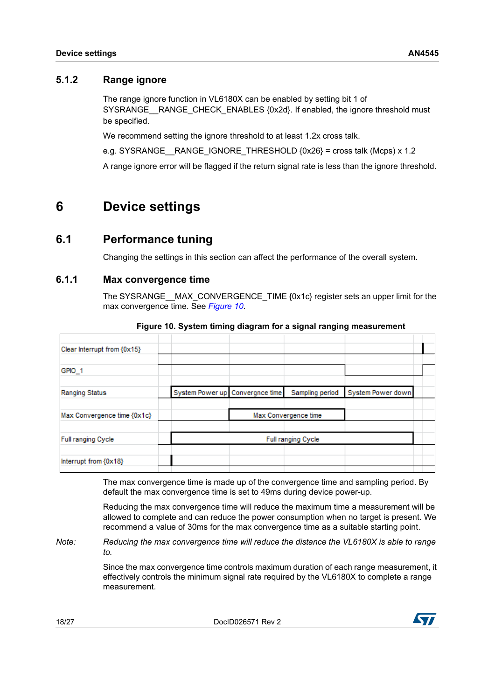#### <span id="page-17-0"></span>**5.1.2 Range ignore**

The range ignore function in VL6180X can be enabled by setting bit 1 of SYSRANGE RANGE CHECK ENABLES {0x2d}. If enabled, the ignore threshold must be specified.

We recommend setting the ignore threshold to at least 1.2x cross talk.

e.g. SYSRANGE RANGE IGNORE THRESHOLD  ${0x26}$  = cross talk (Mcps) x 1.2

A range ignore error will be flagged if the return signal rate is less than the ignore threshold.

## <span id="page-17-1"></span>**6 Device settings**

### <span id="page-17-2"></span>**6.1 Performance tuning**

Changing the settings in this section can affect the performance of the overall system.

### <span id="page-17-3"></span>**6.1.1 Max convergence time**

<span id="page-17-4"></span>The SYSRANGE MAX\_CONVERGENCE\_TIME {0x1c} register sets an upper limit for the max convergence time. See *[Figure](#page-17-4) 10*.

| Clear Interrupt from {0x15} |                                 |                      |                   |  |
|-----------------------------|---------------------------------|----------------------|-------------------|--|
| GPIO_1                      |                                 |                      |                   |  |
| Ranging Status              | System Power up Convergnce time | Sampling period      | System Power down |  |
| Max Convergence time {0x1c} |                                 | Max Convergence time |                   |  |
| Full ranging Cycle          |                                 | Full ranging Cycle   |                   |  |
| Interrupt from {0x18}       |                                 |                      |                   |  |

#### **Figure 10. System timing diagram for a signal ranging measurement**

The max convergence time is made up of the convergence time and sampling period. By default the max convergence time is set to 49ms during device power-up.

Reducing the max convergence time will reduce the maximum time a measurement will be allowed to complete and can reduce the power consumption when no target is present. We recommend a value of 30ms for the max convergence time as a suitable starting point.

*Note: Reducing the max convergence time will reduce the distance the VL6180X is able to range to.*

> Since the max convergence time controls maximum duration of each range measurement, it effectively controls the minimum signal rate required by the VL6180X to complete a range measurement.

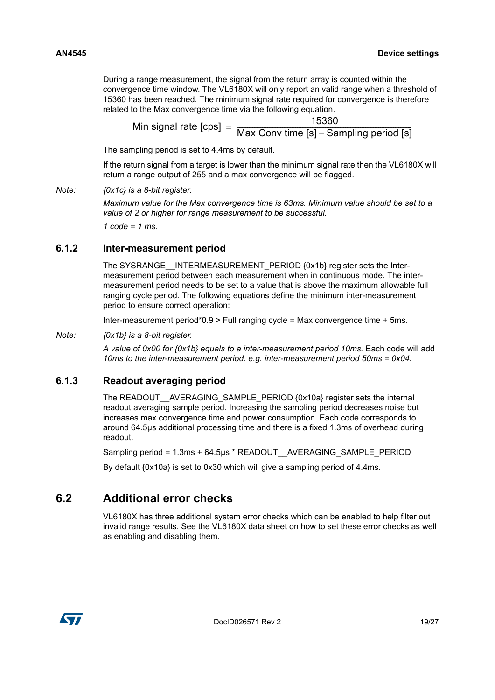During a range measurement, the signal from the return array is counted within the convergence time window. The VL6180X will only report an valid range when a threshold of 15360 has been reached. The minimum signal rate required for convergence is therefore related to the Max convergence time via the following equation.

Min signal rate [cps] =  $\frac{15360}{\text{Max Conv time [s] - Sampling period [s]}}$ 

The sampling period is set to 4.4ms by default.

If the return signal from a target is lower than the minimum signal rate then the VL6180X will return a range output of 255 and a max convergence will be flagged.

*Note: {0x1c} is a 8-bit register.* 

*Maximum value for the Max convergence time is 63ms. Minimum value should be set to a value of 2 or higher for range measurement to be successful.*

*1 code = 1 ms.*

#### <span id="page-18-0"></span>**6.1.2 Inter-measurement period**

The SYSRANGE INTERMEASUREMENT PERIOD {0x1b} register sets the Intermeasurement period between each measurement when in continuous mode. The intermeasurement period needs to be set to a value that is above the maximum allowable full ranging cycle period. The following equations define the minimum inter-measurement period to ensure correct operation:

Inter-measurement period\*0.9 > Full ranging cycle = Max convergence time + 5ms.

#### *Note: {0x1b} is a 8-bit register.*

*A value of 0x00 for {0x1b} equals to a inter-measurement period 10ms.* Each code will add *10ms to the inter-measurement period. e.g. inter-measurement period 50ms = 0x04.*

#### <span id="page-18-1"></span>**6.1.3 Readout averaging period**

The READOUT AVERAGING SAMPLE PERIOD {0x10a} register sets the internal readout averaging sample period. Increasing the sampling period decreases noise but increases max convergence time and power consumption. Each code corresponds to around 64.5µs additional processing time and there is a fixed 1.3ms of overhead during readout.

Sampling period = 1.3ms + 64.5µs \* READOUT\_\_AVERAGING\_SAMPLE\_PERIOD

By default {0x10a} is set to 0x30 which will give a sampling period of 4.4ms.

### <span id="page-18-2"></span>**6.2 Additional error checks**

VL6180X has three additional system error checks which can be enabled to help filter out invalid range results. See the VL6180X data sheet on how to set these error checks as well as enabling and disabling them.

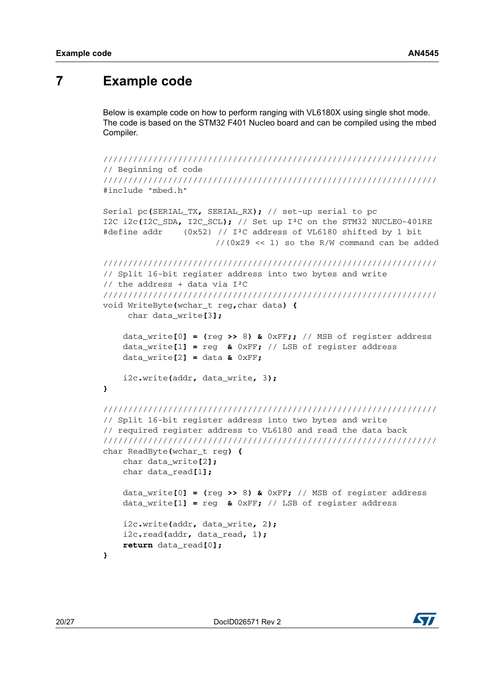## <span id="page-19-0"></span>**7 Example code**

Below is example code on how to perform ranging with VL6180X using single shot mode. The code is based on the STM32 F401 Nucleo board and can be compiled using the mbed Compiler.

```
///////////////////////////////////////////////////////////////////
// Beginning of code
///////////////////////////////////////////////////////////////////
#include "mbed.h"
Serial pc(SERIAL_TX, SERIAL_RX); // set-up serial to pc
I2C i2c(I2C_SDA, I2C_SCL); // Set up I²C on the STM32 NUCLEO-401RE
#define addr (0x52) // I²C address of VL6180 shifted by 1 bit 
                       // (0x29 << 1) so the R/W command can be added
///////////////////////////////////////////////////////////////////
// Split 16-bit register address into two bytes and write 
// the address + data via I²C
///////////////////////////////////////////////////////////////////
void WriteByte(wchar_t reg,char data) {
      char data_write[3];
     data_write[0] = (reg >> 8) & 0xFF;; // MSB of register address
     data_write[1] = reg & 0xFF; // LSB of register address
     data_write[2] = data & 0xFF;
     i2c.write(addr, data_write, 3);
}
///////////////////////////////////////////////////////////////////
// Split 16-bit register address into two bytes and write 
// required register address to VL6180 and read the data back
///////////////////////////////////////////////////////////////////
char ReadByte(wchar_t reg) {
     char data_write[2];
     char data_read[1];
     data_write[0] = (reg >> 8) & 0xFF; // MSB of register address
     data_write[1] = reg & 0xFF; // LSB of register address
     i2c.write(addr, data_write, 2);
     i2c.read(addr, data_read, 1);
     return data_read[0];
}
```
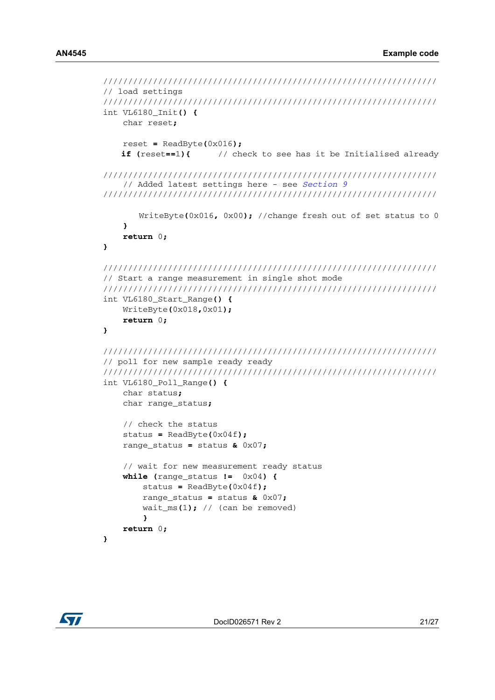```
///////////////////////////////////////////////////////////////////
// load settings
///////////////////////////////////////////////////////////////////
int VL6180_Init() {
     char reset;
     reset = ReadByte(0x016);
    if (reset==1){ // check to see has it be Initialised already
///////////////////////////////////////////////////////////////////
    // Added latest settings here - see Section 9
///////////////////////////////////////////////////////////////////
        WriteByte(0x016, 0x00); //change fresh out of set status to 0
     }
     return 0;
}
///////////////////////////////////////////////////////////////////
// Start a range measurement in single shot mode
///////////////////////////////////////////////////////////////////
int VL6180_Start_Range() {
     WriteByte(0x018,0x01);
     return 0;
}
///////////////////////////////////////////////////////////////////
// poll for new sample ready ready
///////////////////////////////////////////////////////////////////
int VL6180_Poll_Range() {
     char status;
     char range_status;
     // check the status
     status = ReadByte(0x04f); 
     range_status = status & 0x07;
     // wait for new measurement ready status
     while (range_status != 0x04) {
         status = ReadByte(0x04f);
         range_status = status & 0x07;
         wait_ms(1); // (can be removed)
 }
     return 0;
}
```
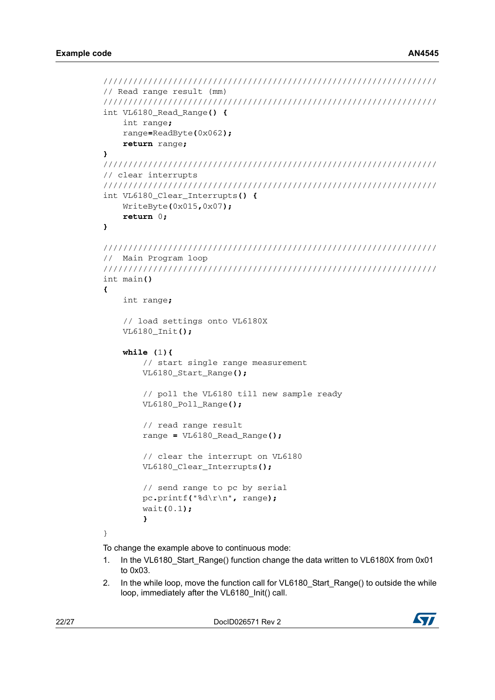```
///////////////////////////////////////////////////////////////////
// Read range result (mm)
///////////////////////////////////////////////////////////////////
int VL6180_Read_Range() {
     int range;
     range=ReadByte(0x062);
     return range;
}
///////////////////////////////////////////////////////////////////
// clear interrupts
///////////////////////////////////////////////////////////////////
int VL6180_Clear_Interrupts() {
     WriteByte(0x015,0x07);
     return 0;
}
///////////////////////////////////////////////////////////////////
// Main Program loop
///////////////////////////////////////////////////////////////////
int main()
{
     int range;
     // load settings onto VL6180X
     VL6180_Init();
     while (1){
         // start single range measurement
         VL6180_Start_Range();
         // poll the VL6180 till new sample ready
         VL6180_Poll_Range();
         // read range result
         range = VL6180_Read_Range();
         // clear the interrupt on VL6180
         VL6180_Clear_Interrupts();
         // send range to pc by serial
         pc.printf("%d\r\n", range);
         wait(0.1);
         }
}
To change the example above to continuous mode:
```
- 1. In the VL6180\_Start\_Range() function change the data written to VL6180X from 0x01 to 0x03.
- 2. In the while loop, move the function call for VL6180\_Start\_Range() to outside the while loop, immediately after the VL6180\_Init() call.

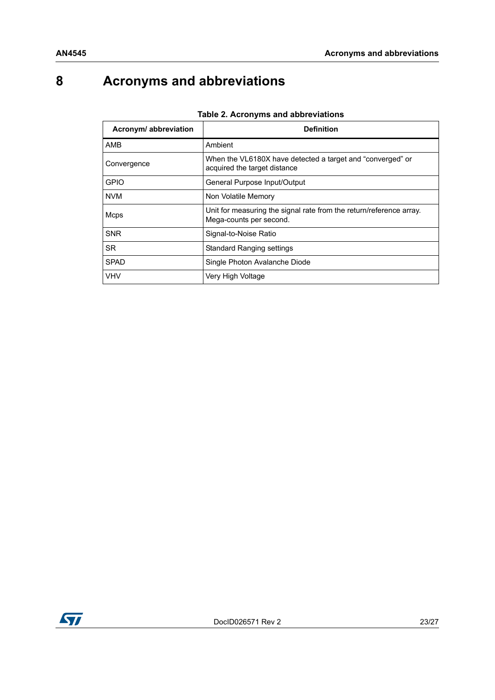# <span id="page-22-0"></span>**8 Acronyms and abbreviations**

| Acronym/ abbreviation | <b>Definition</b>                                                                              |  |  |
|-----------------------|------------------------------------------------------------------------------------------------|--|--|
| AMB                   | Ambient                                                                                        |  |  |
| Convergence           | When the VL6180X have detected a target and "converged" or<br>acquired the target distance     |  |  |
| <b>GPIO</b>           | General Purpose Input/Output                                                                   |  |  |
| <b>NVM</b>            | Non Volatile Memory                                                                            |  |  |
| Mcps                  | Unit for measuring the signal rate from the return/reference array.<br>Mega-counts per second. |  |  |
| <b>SNR</b>            | Signal-to-Noise Ratio                                                                          |  |  |
| <b>SR</b>             | <b>Standard Ranging settings</b>                                                               |  |  |
| <b>SPAD</b>           | Single Photon Avalanche Diode                                                                  |  |  |
| <b>VHV</b>            | Very High Voltage                                                                              |  |  |

#### **Table 2. Acronyms and abbreviations**

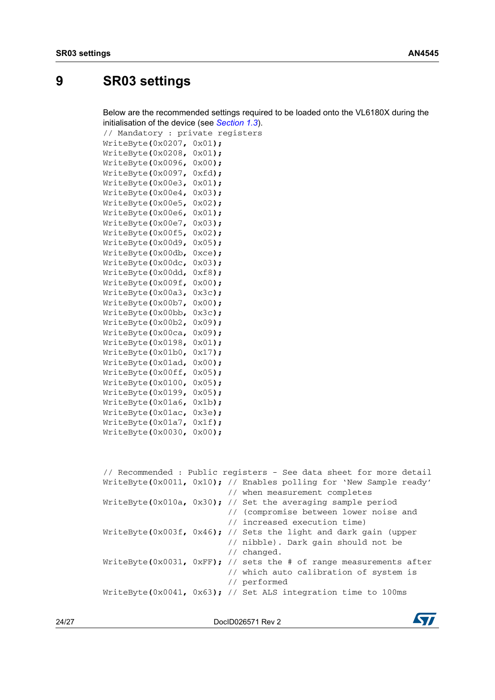## <span id="page-23-0"></span>**9 SR03 settings**

Below are the recommended settings required to be loaded onto the VL6180X during the initialisation of the device (see *[Section](#page-4-0) 1.3*).

// Mandatory : private registers WriteByte**(**0x0207**,** 0x01**);**

```
WriteByte(0x0208, 0x01);
WriteByte(0x0096, 0x00);
WriteByte(0x0097, 0xfd);
WriteByte(0x00e3, 0x01);
WriteByte(0x00e4, 0x03);
WriteByte(0x00e5, 0x02);
WriteByte(0x00e6, 0x01);
WriteByte(0x00e7, 0x03);
WriteByte(0x00f5, 0x02);
WriteByte(0x00d9, 0x05);
WriteByte(0x00db, 0xce);
WriteByte(0x00dc, 0x03);
WriteByte(0x00dd, 0xf8);
WriteByte(0x009f, 0x00);
WriteByte(0x00a3, 0x3c);
WriteByte(0x00b7, 0x00);
WriteByte(0x00bb, 0x3c);
WriteByte(0x00b2, 0x09);
WriteByte(0x00ca, 0x09);
WriteByte(0x0198, 0x01);
WriteByte(0x01b0, 0x17);
WriteByte(0x01ad, 0x00);
WriteByte(0x00ff, 0x05);
WriteByte(0x0100, 0x05);
WriteByte(0x0199, 0x05);
WriteByte(0x01a6, 0x1b);
WriteByte(0x01ac, 0x3e);
WriteByte(0x01a7, 0x1f);
WriteByte(0x0030, 0x00);
// Recommended : Public registers - See data sheet for more detail
WriteByte(0x0011, 0x10); // Enables polling for 'New Sample ready'
```

```
 // when measurement completes
WriteByte(0x010a, 0x30); // Set the averaging sample period
                           // (compromise between lower noise and 
                           // increased execution time)
WriteByte(0x003f, 0x46); // Sets the light and dark gain (upper 
                           // nibble). Dark gain should not be 
                           // changed.
WriteByte(0x0031, 0xFF); // sets the # of range measurements after 
                           // which auto calibration of system is
                           // performed 
WriteByte(0x0041, 0x63); // Set ALS integration time to 100ms
```
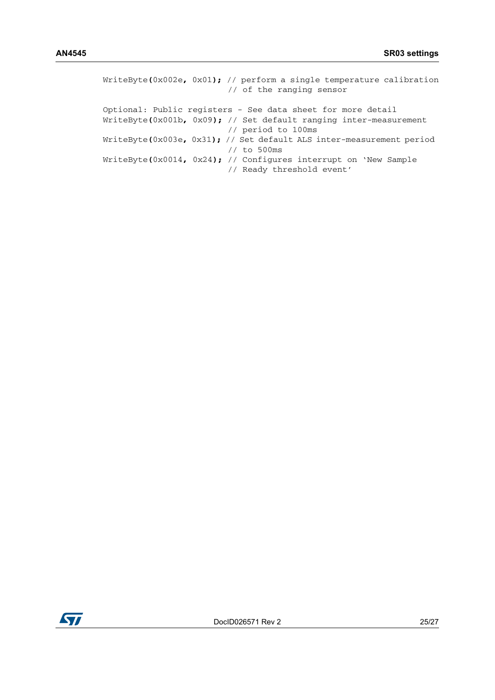| WriteByte(0x002e, 0x01); // perform a single temperature calibration<br>// of the ranging sensor |
|--------------------------------------------------------------------------------------------------|
| Optional: Public registers - See data sheet for more detail                                      |
| WriteByte(0x001b, 0x09); // Set default ranging inter-measurement                                |
| // period to 100ms                                                                               |
| WriteByte(0x003e, 0x31); // Set default ALS inter-measurement period                             |
| $1/$ to 500ms                                                                                    |
| WriteByte(0x0014, 0x24); // Configures interrupt on 'New Sample                                  |
| // Ready threshold event'                                                                        |

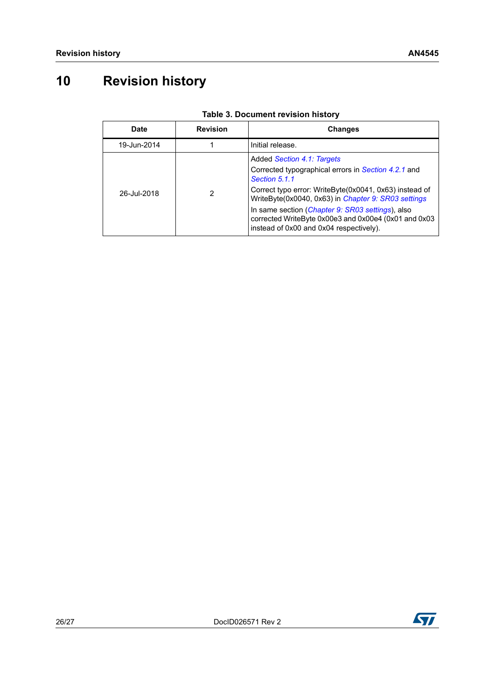# <span id="page-25-0"></span>**10 Revision history**

| <b>Date</b> | <b>Revision</b> | <b>Changes</b>                                                                                                                                                                                                                                                                                                                                                             |
|-------------|-----------------|----------------------------------------------------------------------------------------------------------------------------------------------------------------------------------------------------------------------------------------------------------------------------------------------------------------------------------------------------------------------------|
| 19-Jun-2014 |                 | Initial release.                                                                                                                                                                                                                                                                                                                                                           |
| 26-Jul-2018 |                 | Added Section 4.1: Targets<br>Corrected typographical errors in Section 4.2.1 and<br>Section 5.1.1<br>Correct typo error: WriteByte(0x0041, 0x63) instead of<br>WriteByte(0x0040, 0x63) in Chapter 9: SR03 settings<br>In same section (Chapter 9: SR03 settings), also<br>corrected WriteByte 0x00e3 and 0x00e4 (0x01 and 0x03<br>instead of 0x00 and 0x04 respectively). |

#### **Table 3. Document revision history**